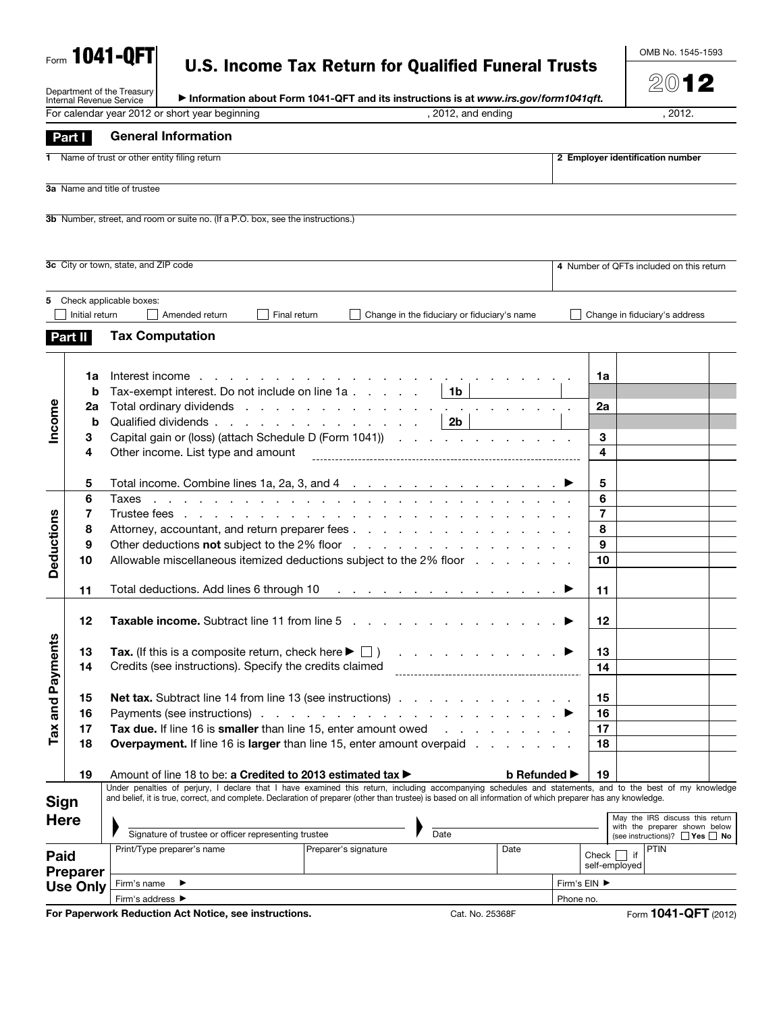|  |  | U.S. Income Tax Return for Qualified Funeral Trusts |  |
|--|--|-----------------------------------------------------|--|
|  |  |                                                     |  |

OMB No. 1545-1593

|                   | Internal Revenue Service           | Department of the Treasury                                                                                                                                   | Information about Form 1041-QFT and its instructions is at www.irs.gov/form1041qft.                                                                      |                                                 |                                                     |                    |                                     |  |                                                                  |                                  | $200$ 12                                 |  |
|-------------------|------------------------------------|--------------------------------------------------------------------------------------------------------------------------------------------------------------|----------------------------------------------------------------------------------------------------------------------------------------------------------|-------------------------------------------------|-----------------------------------------------------|--------------------|-------------------------------------|--|------------------------------------------------------------------|----------------------------------|------------------------------------------|--|
|                   |                                    |                                                                                                                                                              | For calendar year 2012 or short year beginning                                                                                                           |                                                 |                                                     | , 2012, and ending |                                     |  |                                                                  |                                  | . 2012.                                  |  |
|                   | Part I                             |                                                                                                                                                              | <b>General Information</b>                                                                                                                               |                                                 |                                                     |                    |                                     |  |                                                                  |                                  |                                          |  |
|                   |                                    |                                                                                                                                                              |                                                                                                                                                          |                                                 |                                                     |                    |                                     |  |                                                                  |                                  |                                          |  |
|                   |                                    |                                                                                                                                                              | Name of trust or other entity filing return                                                                                                              |                                                 |                                                     |                    |                                     |  |                                                                  | 2 Employer identification number |                                          |  |
|                   |                                    | 3a Name and title of trustee                                                                                                                                 |                                                                                                                                                          |                                                 |                                                     |                    |                                     |  |                                                                  |                                  |                                          |  |
|                   |                                    |                                                                                                                                                              |                                                                                                                                                          |                                                 |                                                     |                    |                                     |  |                                                                  |                                  |                                          |  |
|                   |                                    |                                                                                                                                                              | 3b Number, street, and room or suite no. (If a P.O. box, see the instructions.)                                                                          |                                                 |                                                     |                    |                                     |  |                                                                  |                                  |                                          |  |
|                   |                                    |                                                                                                                                                              |                                                                                                                                                          |                                                 |                                                     |                    |                                     |  |                                                                  |                                  |                                          |  |
|                   |                                    |                                                                                                                                                              |                                                                                                                                                          |                                                 |                                                     |                    |                                     |  |                                                                  |                                  |                                          |  |
|                   |                                    | 3c City or town, state, and ZIP code                                                                                                                         |                                                                                                                                                          |                                                 |                                                     |                    |                                     |  |                                                                  |                                  | 4 Number of QFTs included on this return |  |
|                   |                                    |                                                                                                                                                              |                                                                                                                                                          |                                                 |                                                     |                    |                                     |  |                                                                  |                                  |                                          |  |
| 5                 | Initial return                     | Check applicable boxes:                                                                                                                                      | Amended return                                                                                                                                           | Final return                                    | Change in the fiduciary or fiduciary's name         |                    |                                     |  |                                                                  | Change in fiduciary's address    |                                          |  |
|                   |                                    |                                                                                                                                                              |                                                                                                                                                          |                                                 |                                                     |                    |                                     |  |                                                                  |                                  |                                          |  |
|                   | Part II                            |                                                                                                                                                              | <b>Tax Computation</b>                                                                                                                                   |                                                 |                                                     |                    |                                     |  |                                                                  |                                  |                                          |  |
|                   |                                    |                                                                                                                                                              |                                                                                                                                                          |                                                 |                                                     |                    |                                     |  |                                                                  |                                  |                                          |  |
|                   | 1a                                 | Interest income                                                                                                                                              | the contract of the contract of the                                                                                                                      |                                                 |                                                     |                    |                                     |  | 1a                                                               |                                  |                                          |  |
|                   | b                                  |                                                                                                                                                              | Tax-exempt interest. Do not include on line 1a                                                                                                           |                                                 |                                                     | 1 <sub>b</sub>     |                                     |  |                                                                  |                                  |                                          |  |
|                   | 2a<br>b                            |                                                                                                                                                              | Total ordinary dividends<br>Qualified dividends                                                                                                          |                                                 |                                                     | 2 <sub>b</sub>     |                                     |  | 2a                                                               |                                  |                                          |  |
| Income            | 3                                  |                                                                                                                                                              | Capital gain or (loss) (attach Schedule D (Form 1041))                                                                                                   |                                                 |                                                     |                    |                                     |  | 3                                                                |                                  |                                          |  |
|                   | 4                                  |                                                                                                                                                              | Other income. List type and amount                                                                                                                       |                                                 |                                                     |                    |                                     |  | 4                                                                |                                  |                                          |  |
|                   |                                    |                                                                                                                                                              |                                                                                                                                                          |                                                 |                                                     |                    |                                     |  |                                                                  |                                  |                                          |  |
|                   | 5                                  |                                                                                                                                                              | Total income. Combine lines 1a, 2a, 3, and 4 $\ldots$ $\ldots$ $\ldots$ $\ldots$ $\ldots$                                                                |                                                 |                                                     |                    |                                     |  | 5                                                                |                                  |                                          |  |
|                   | 6                                  | Taxes                                                                                                                                                        |                                                                                                                                                          |                                                 |                                                     |                    |                                     |  | 6                                                                |                                  |                                          |  |
|                   | 7<br>8                             | Trustee fees                                                                                                                                                 | $\mathbf{r}$<br>Attorney, accountant, and return preparer fees                                                                                           | the contract of the contract of the contract of |                                                     |                    |                                     |  | 7<br>8                                                           |                                  |                                          |  |
|                   | 9                                  |                                                                                                                                                              | Other deductions not subject to the 2% floor                                                                                                             |                                                 |                                                     |                    |                                     |  | 9                                                                |                                  |                                          |  |
| <b>Deductions</b> | 10                                 |                                                                                                                                                              | Allowable miscellaneous itemized deductions subject to the 2% floor                                                                                      |                                                 |                                                     |                    |                                     |  | 10                                                               |                                  |                                          |  |
|                   |                                    |                                                                                                                                                              |                                                                                                                                                          |                                                 |                                                     |                    |                                     |  |                                                                  |                                  |                                          |  |
|                   | 11                                 |                                                                                                                                                              | Total deductions. Add lines 6 through 10                                                                                                                 |                                                 | and a series of the contract of the contract of the |                    |                                     |  | 11                                                               |                                  |                                          |  |
|                   |                                    |                                                                                                                                                              |                                                                                                                                                          |                                                 |                                                     |                    |                                     |  |                                                                  |                                  |                                          |  |
|                   | 12                                 |                                                                                                                                                              | <b>Taxable income.</b> Subtract line 11 from line 5                                                                                                      |                                                 |                                                     |                    |                                     |  | 12                                                               |                                  |                                          |  |
| ≌                 | 13                                 |                                                                                                                                                              | Tax. (If this is a composite return, check here $\blacktriangleright \Box$ )                                                                             |                                                 |                                                     |                    |                                     |  | 13                                                               |                                  |                                          |  |
|                   | 14                                 |                                                                                                                                                              | Credits (see instructions). Specify the credits claimed                                                                                                  |                                                 |                                                     |                    |                                     |  | 14                                                               |                                  |                                          |  |
| Tax and Paymen    |                                    |                                                                                                                                                              |                                                                                                                                                          |                                                 |                                                     |                    |                                     |  |                                                                  |                                  |                                          |  |
|                   | 15                                 |                                                                                                                                                              | <b>Net tax.</b> Subtract line 14 from line 13 (see instructions)                                                                                         |                                                 |                                                     |                    |                                     |  | 15                                                               |                                  |                                          |  |
|                   | 16                                 |                                                                                                                                                              |                                                                                                                                                          |                                                 |                                                     |                    |                                     |  | 16                                                               |                                  |                                          |  |
|                   | 17<br>18                           |                                                                                                                                                              | Tax due. If line 16 is smaller than line 15, enter amount owed<br><b>Overpayment.</b> If line 16 is <b>larger</b> than line 15, enter amount overpaid    |                                                 |                                                     |                    | the contract of the contract of the |  | 17<br>18                                                         |                                  |                                          |  |
|                   |                                    |                                                                                                                                                              |                                                                                                                                                          |                                                 |                                                     |                    |                                     |  |                                                                  |                                  |                                          |  |
|                   | 19                                 |                                                                                                                                                              | Amount of line 18 to be: a Credited to 2013 estimated tax ▶                                                                                              |                                                 |                                                     |                    | <b>b</b> Refunded ▶                 |  | 19                                                               |                                  |                                          |  |
|                   |                                    |                                                                                                                                                              | Under penalties of perjury, I declare that I have examined this return, including accompanying schedules and statements, and to the best of my knowledge |                                                 |                                                     |                    |                                     |  |                                                                  |                                  |                                          |  |
| <b>Sign</b>       |                                    | and belief, it is true, correct, and complete. Declaration of preparer (other than trustee) is based on all information of which preparer has any knowledge. |                                                                                                                                                          |                                                 |                                                     |                    |                                     |  |                                                                  |                                  |                                          |  |
| <b>Here</b>       |                                    | Signature of trustee or officer representing trustee                                                                                                         |                                                                                                                                                          |                                                 |                                                     |                    |                                     |  | May the IRS discuss this return<br>with the preparer shown below |                                  |                                          |  |
|                   |                                    |                                                                                                                                                              | Print/Type preparer's name                                                                                                                               | Preparer's signature                            | Date                                                |                    | Date                                |  |                                                                  | <b>PTIN</b>                      | (see instructions)? $\Box$ Yes $\Box$ No |  |
| Paid              |                                    |                                                                                                                                                              |                                                                                                                                                          |                                                 |                                                     |                    |                                     |  | Check<br>self-employed                                           | l if                             |                                          |  |
|                   | <b>Preparer</b><br><b>Use Only</b> | Firm's name                                                                                                                                                  | ▸                                                                                                                                                        |                                                 |                                                     |                    |                                     |  | Firm's EIN ▶                                                     |                                  |                                          |  |
|                   |                                    | Firm's address ▶                                                                                                                                             |                                                                                                                                                          |                                                 |                                                     |                    |                                     |  | Phone no.                                                        |                                  |                                          |  |
|                   |                                    |                                                                                                                                                              |                                                                                                                                                          |                                                 |                                                     |                    |                                     |  |                                                                  |                                  |                                          |  |

For Paperwork Reduction Act Notice, see instructions. Cat. No. 25368F Form 1041-QFT (2012)

Form 1041-QFT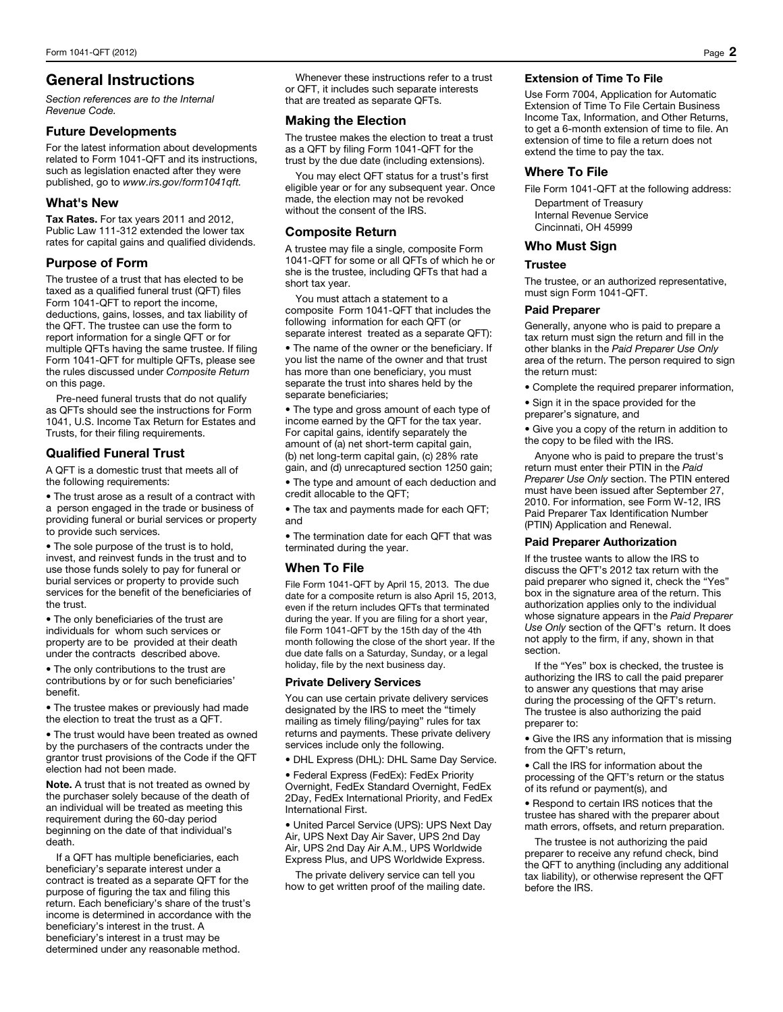# General Instructions

*Section references are to the Internal Revenue Code.* 

### Future Developments

For the latest information about developments related to Form 1041-QFT and its instructions, such as legislation enacted after they were published, go to *www.irs.gov/form1041qft.* 

## What's New

Tax Rates. For tax years 2011 and 2012, Public Law 111-312 extended the lower tax rates for capital gains and qualified dividends.

## Purpose of Form

The trustee of a trust that has elected to be taxed as a qualified funeral trust (QFT) files Form 1041-QFT to report the income, deductions, gains, losses, and tax liability of the QFT. The trustee can use the form to report information for a single QFT or for multiple QFTs having the same trustee. If filing Form 1041-QFT for multiple QFTs, please see the rules discussed under *Composite Return* on this page.

Pre-need funeral trusts that do not qualify as QFTs should see the instructions for Form 1041, U.S. Income Tax Return for Estates and Trusts, for their filing requirements.

# Qualified Funeral Trust

A QFT is a domestic trust that meets all of the following requirements:

• The trust arose as a result of a contract with a person engaged in the trade or business of providing funeral or burial services or property to provide such services.

• The sole purpose of the trust is to hold, invest, and reinvest funds in the trust and to use those funds solely to pay for funeral or burial services or property to provide such services for the benefit of the beneficiaries of the trust.

• The only beneficiaries of the trust are individuals for whom such services or property are to be provided at their death under the contracts described above.

• The only contributions to the trust are contributions by or for such beneficiaries' benefit.

• The trustee makes or previously had made the election to treat the trust as a QFT.

• The trust would have been treated as owned by the purchasers of the contracts under the grantor trust provisions of the Code if the QFT election had not been made.

Note. A trust that is not treated as owned by the purchaser solely because of the death of an individual will be treated as meeting this requirement during the 60-day period beginning on the date of that individual's death.

If a QFT has multiple beneficiaries, each beneficiary's separate interest under a contract is treated as a separate QFT for the purpose of figuring the tax and filing this return. Each beneficiary's share of the trust's income is determined in accordance with the beneficiary's interest in the trust. A beneficiary's interest in a trust may be determined under any reasonable method.

Whenever these instructions refer to a trust or QFT, it includes such separate interests that are treated as separate QFTs.

### Making the Election

The trustee makes the election to treat a trust as a QFT by filing Form 1041-QFT for the trust by the due date (including extensions).

You may elect QFT status for a trust's first eligible year or for any subsequent year. Once made, the election may not be revoked without the consent of the IRS.

## Composite Return

A trustee may file a single, composite Form 1041-QFT for some or all QFTs of which he or she is the trustee, including QFTs that had a short tax year.

You must attach a statement to a composite Form 1041-QFT that includes the following information for each QFT (or separate interest treated as a separate QFT):

• The name of the owner or the beneficiary. If you list the name of the owner and that trust has more than one beneficiary, you must separate the trust into shares held by the separate beneficiaries;

• The type and gross amount of each type of income earned by the QFT for the tax year. For capital gains, identify separately the amount of (a) net short-term capital gain, (b) net long-term capital gain, (c) 28% rate gain, and (d) unrecaptured section 1250 gain;

• The type and amount of each deduction and credit allocable to the QFT;

• The tax and payments made for each QFT; and

• The termination date for each QFT that was terminated during the year.

## When To File

File Form 1041-QFT by April 15, 2013. The due date for a composite return is also April 15, 2013, even if the return includes QFTs that terminated during the year. If you are filing for a short year, file Form 1041-QFT by the 15th day of the 4th month following the close of the short year. If the due date falls on a Saturday, Sunday, or a legal holiday, file by the next business day.

### Private Delivery Services

You can use certain private delivery services designated by the IRS to meet the "timely mailing as timely filing/paying" rules for tax returns and payments. These private delivery services include only the following.

• DHL Express (DHL): DHL Same Day Service.

• Federal Express (FedEx): FedEx Priority Overnight, FedEx Standard Overnight, FedEx 2Day, FedEx International Priority, and FedEx International First.

• United Parcel Service (UPS): UPS Next Day Air, UPS Next Day Air Saver, UPS 2nd Day Air, UPS 2nd Day Air A.M., UPS Worldwide Express Plus, and UPS Worldwide Express.

The private delivery service can tell you how to get written proof of the mailing date.

## Extension of Time To File

Use Form 7004, Application for Automatic Extension of Time To File Certain Business Income Tax, Information, and Other Returns, to get a 6-month extension of time to file. An extension of time to file a return does not extend the time to pay the tax.

## Where To File

File Form 1041-QFT at the following address:

Department of Treasury Internal Revenue Service Cincinnati, OH 45999

## Who Must Sign

### Trustee

The trustee, or an authorized representative, must sign Form 1041-QFT.

### Paid Preparer

Generally, anyone who is paid to prepare a tax return must sign the return and fill in the other blanks in the *Paid Preparer Use Only* area of the return. The person required to sign the return must:

- Complete the required preparer information,
- Sign it in the space provided for the preparer's signature, and

• Give you a copy of the return in addition to the copy to be filed with the IRS.

Anyone who is paid to prepare the trust's return must enter their PTIN in the *Paid Preparer Use Only* section. The PTIN entered must have been issued after September 27, 2010. For information, see Form W-12, IRS Paid Preparer Tax Identification Number (PTIN) Application and Renewal.

### Paid Preparer Authorization

If the trustee wants to allow the IRS to discuss the QFT's 2012 tax return with the paid preparer who signed it, check the "Yes" box in the signature area of the return. This authorization applies only to the individual whose signature appears in the *Paid Preparer Use Only* section of the QFT's return. It does not apply to the firm, if any, shown in that section.

If the "Yes" box is checked, the trustee is authorizing the IRS to call the paid preparer to answer any questions that may arise during the processing of the QFT's return. The trustee is also authorizing the paid preparer to:

• Give the IRS any information that is missing from the QFT's return,

• Call the IRS for information about the processing of the QFT's return or the status of its refund or payment(s), and

• Respond to certain IRS notices that the trustee has shared with the preparer about math errors, offsets, and return preparation.

The trustee is not authorizing the paid preparer to receive any refund check, bind the QFT to anything (including any additional tax liability), or otherwise represent the QFT before the IRS.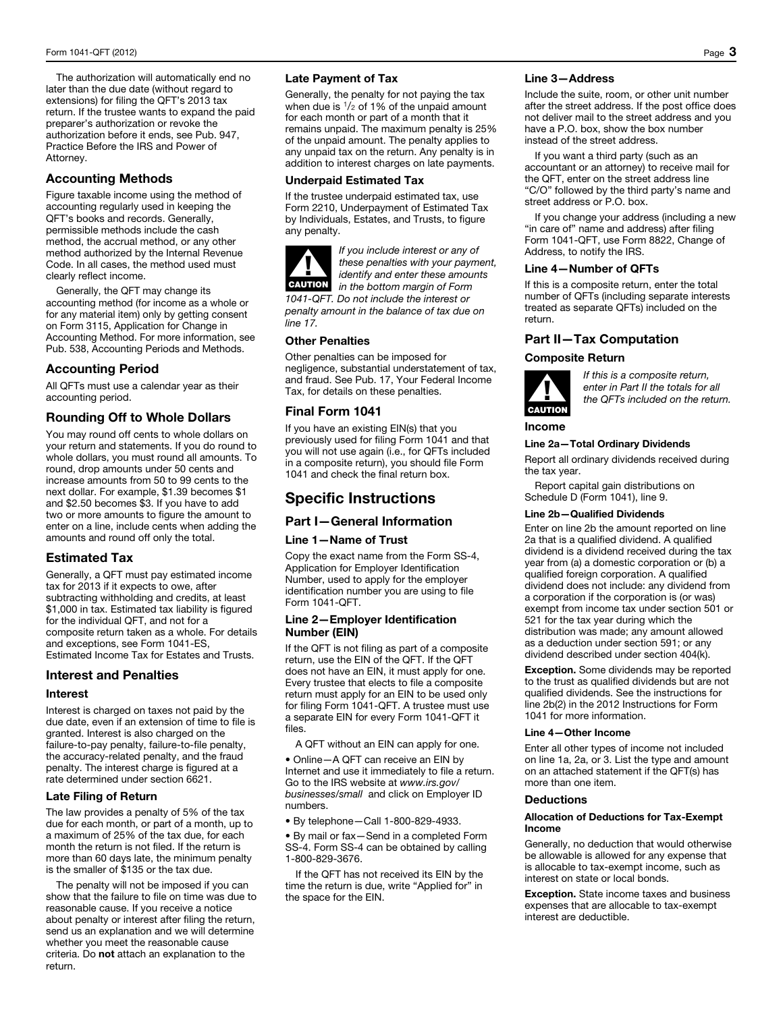The authorization will automatically end no later than the due date (without regard to extensions) for filing the QFT's 2013 tax return. If the trustee wants to expand the paid preparer's authorization or revoke the authorization before it ends, see Pub. 947, Practice Before the IRS and Power of Attorney.

# Accounting Methods

Figure taxable income using the method of accounting regularly used in keeping the QFT's books and records. Generally, permissible methods include the cash method, the accrual method, or any other method authorized by the Internal Revenue Code. In all cases, the method used must clearly reflect income.

Generally, the QFT may change its accounting method (for income as a whole or for any material item) only by getting consent on Form 3115, Application for Change in Accounting Method. For more information, see Pub. 538, Accounting Periods and Methods.

# Accounting Period

All QFTs must use a calendar year as their accounting period.

## Rounding Off to Whole Dollars

You may round off cents to whole dollars on your return and statements. If you do round to whole dollars, you must round all amounts. To round, drop amounts under 50 cents and increase amounts from 50 to 99 cents to the next dollar. For example, \$1.39 becomes \$1 and \$2.50 becomes \$3. If you have to add two or more amounts to figure the amount to enter on a line, include cents when adding the amounts and round off only the total.

# Estimated Tax

Generally, a QFT must pay estimated income tax for 2013 if it expects to owe, after subtracting withholding and credits, at least \$1,000 in tax. Estimated tax liability is figured for the individual QFT, and not for a composite return taken as a whole. For details and exceptions, see Form 1041-ES, Estimated Income Tax for Estates and Trusts.

# Interest and Penalties

### Interest

Interest is charged on taxes not paid by the due date, even if an extension of time to file is granted. Interest is also charged on the failure-to-pay penalty, failure-to-file penalty, the accuracy-related penalty, and the fraud penalty. The interest charge is figured at a rate determined under section 6621.

### Late Filing of Return

The law provides a penalty of 5% of the tax due for each month, or part of a month, up to a maximum of 25% of the tax due, for each month the return is not filed. If the return is more than 60 days late, the minimum penalty is the smaller of \$135 or the tax due.

The penalty will not be imposed if you can show that the failure to file on time was due to reasonable cause. If you receive a notice about penalty or interest after filing the return, send us an explanation and we will determine whether you meet the reasonable cause criteria. Do not attach an explanation to the return.

## Late Payment of Tax

Generally, the penalty for not paying the tax when due is  $\frac{1}{2}$  of 1% of the unpaid amount for each month or part of a month that it remains unpaid. The maximum penalty is 25% of the unpaid amount. The penalty applies to any unpaid tax on the return. Any penalty is in addition to interest charges on late payments.

## Underpaid Estimated Tax

If the trustee underpaid estimated tax, use Form 2210, Underpayment of Estimated Tax by Individuals, Estates, and Trusts, to figure any penalty.

▲! CAUTION

*If you include interest or any of these penalties with your payment, identify and enter these amounts in the bottom margin of Form* 

*1041-QFT. Do not include the interest or penalty amount in the balance of tax due on line 17.* 

## Other Penalties

Other penalties can be imposed for negligence, substantial understatement of tax, and fraud. See Pub. 17, Your Federal Income Tax, for details on these penalties.

# Final Form 1041

If you have an existing EIN(s) that you previously used for filing Form 1041 and that you will not use again (i.e., for QFTs included in a composite return), you should file Form 1041 and check the final return box.

# Specific Instructions

## Part I—General Information

## Line 1—Name of Trust

Copy the exact name from the Form SS-4, Application for Employer Identification Number, used to apply for the employer identification number you are using to file Form 1041-QFT.

### Line 2—Employer Identification Number (EIN)

If the QFT is not filing as part of a composite return, use the EIN of the QFT. If the QFT does not have an EIN, it must apply for one. Every trustee that elects to file a composite return must apply for an EIN to be used only for filing Form 1041-QFT. A trustee must use a separate EIN for every Form 1041-QFT it files.

A QFT without an EIN can apply for one.

• Online—A QFT can receive an EIN by Internet and use it immediately to file a return. Go to the IRS website at *www.irs.gov/ businesses/small* and click on Employer ID numbers.

• By telephone—Call 1-800-829-4933.

• By mail or fax—Send in a completed Form SS-4. Form SS-4 can be obtained by calling 1-800-829-3676.

If the QFT has not received its EIN by the time the return is due, write "Applied for" in the space for the EIN.

## Line 3—Address

Include the suite, room, or other unit number after the street address. If the post office does not deliver mail to the street address and you have a P.O. box, show the box number instead of the street address.

If you want a third party (such as an accountant or an attorney) to receive mail for the QFT, enter on the street address line "C/O" followed by the third party's name and street address or P.O. box.

If you change your address (including a new "in care of" name and address) after filing Form 1041-QFT, use Form 8822, Change of Address, to notify the IRS.

### Line 4—Number of QFTs

If this is a composite return, enter the total number of QFTs (including separate interests treated as separate QFTs) included on the return.

## Part II—Tax Computation

### Composite Return



*If this is a composite return, enter in Part II the totals for all the QFTs included on the return.*

## Income

### Line 2a—Total Ordinary Dividends

Report all ordinary dividends received during the tax year.

Report capital gain distributions on Schedule D (Form 1041), line 9.

## Line 2b—Qualified Dividends

Enter on line 2b the amount reported on line 2a that is a qualified dividend. A qualified dividend is a dividend received during the tax year from (a) a domestic corporation or (b) a qualified foreign corporation. A qualified dividend does not include: any dividend from a corporation if the corporation is (or was) exempt from income tax under section 501 or 521 for the tax year during which the distribution was made; any amount allowed as a deduction under section 591; or any dividend described under section 404(k).

**Exception.** Some dividends may be reported to the trust as qualified dividends but are not qualified dividends. See the instructions for line 2b(2) in the 2012 Instructions for Form 1041 for more information.

### Line 4—Other Income

Enter all other types of income not included on line 1a, 2a, or 3. List the type and amount on an attached statement if the QFT(s) has more than one item.

### **Deductions**

### Allocation of Deductions for Tax-Exempt Income

Generally, no deduction that would otherwise be allowable is allowed for any expense that is allocable to tax-exempt income, such as interest on state or local bonds.

**Exception.** State income taxes and business expenses that are allocable to tax-exempt interest are deductible.